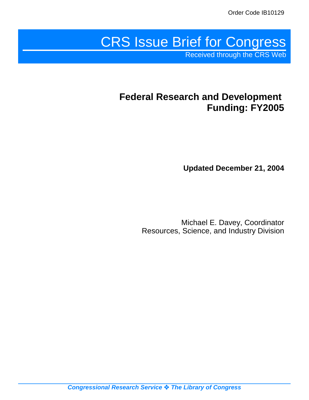# CRS Issue Brief for Congress

Received through the CRS Web

# **Federal Research and Development Funding: FY2005**

**Updated December 21, 2004**

Michael E. Davey, Coordinator Resources, Science, and Industry Division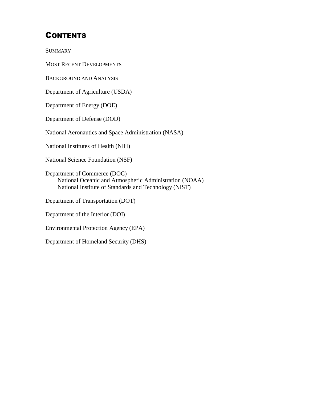## **CONTENTS**

**SUMMARY** 

MOST RECENT DEVELOPMENTS

BACKGROUND AND ANALYSIS

Department of Agriculture (USDA)

Department of Energy (DOE)

Department of Defense (DOD)

National Aeronautics and Space Administration (NASA)

National Institutes of Health (NIH)

National Science Foundation (NSF)

Department of Commerce (DOC) National Oceanic and Atmospheric Administration (NOAA) National Institute of Standards and Technology (NIST)

Department of Transportation (DOT)

Department of the Interior (DOI)

Environmental Protection Agency (EPA)

Department of Homeland Security (DHS)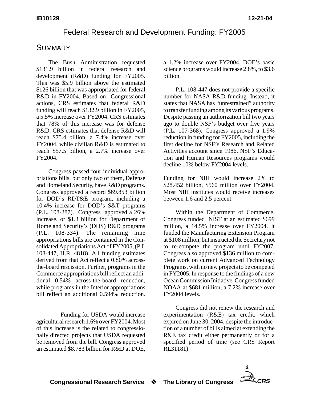#### Federal Research and Development Funding: FY2005

#### **SUMMARY**

The Bush Administration requested \$131.9 billion in federal research and development (R&D) funding for FY2005. This was \$5.9 billion above the estimated \$126 billion that was appropriated for federal R&D in FY2004. Based on Congressional actions, CRS estimates that federal R&D funding will reach \$132.9 billion in FY2005, a 5.5% increase over FY2004. CRS estimates that 78% of this increase was for defense R&D. CRS estimates that defense R&D will reach \$75.4 billion, a 7.4% increase over FY2004, while civilian R&D is estimated to reach \$57.5 billion, a 2.7% increase over FY2004.

Congress passed four individual appropriations bills, but only two of them, Defense and Homeland Security, have R&D programs. Congress approved a record \$69.853 billion for DOD's RDT&E program, including a 10.4% increase for DOD's S&T programs (P.L. 108-287). Congress approved a 26% increase, or \$1.3 billion for Department of Homeland Security's (DHS) R&D programs (P.L. 108-334). The remaining nine appropriations bills are contained in the Consolidated Appropriations Act of FY2005, (P.L 108-447, H.R. 4818). All funding estimates derived from that Act reflect a 0.80% acrossthe-board rescission. Further, programs in the Commerce appropriations bill reflect an additional 0.54% across-the-board reduction, while programs in the Interior appropriations bill reflect an additional 0.594% reduction.

Funding for USDA would increase agricultural research 1.6% over FY2004. Most of this increase is the related to congressionally directed projects that USDA requested be removed from the bill. Congress approved an estimated \$8.783 billion for R&D at DOE,

a 1.2% increase over FY2004. DOE's basic science programs would increase 2.8%, to \$3.6 billion.

P.L. 108-447 does not provide a specific number for NASA R&D funding. Instead, it states that NASA has "unrestrained" authority to transfer funding among its various programs. Despite passing an authorization bill two years ago to double NSF's budget over five years (P.L. 107-368), Congress approved a 1.9% reduction in funding for FY2005, including the first decline for NSF's Research and Related Activities account since 1986. NSF's Education and Human Resources programs would decline 10% below FY2004 levels.

Funding for NIH would increase 2% to \$28.452 billion, \$560 million over FY2004. Most NIH institutes would receive increases between 1.6 and 2.5 percent.

Within the Department of Commerce, Congress funded NIST at an estimated \$699 million, a 14.5% increase over FY2004. It funded the Manufacturing Extension Program at \$108 million, but instructed the Secretary not to re-compete the program until FY2007. Congress also approved \$136 million to complete work on current Advanced Technology Programs, with no new projects to be competed in FY2005. In response to the findings of a new Ocean Commission Initiative, Congress funded NOAA at \$681 million, a 7.2% increase over FY2004 levels.

Congress did not renew the research and experimentation (R&E) tax credit, which expired on June 30, 2004, despite the introduction of a number of bills aimed at extending the R&E tax credit either permanently or for a specified period of time (see CRS Report RL31181).

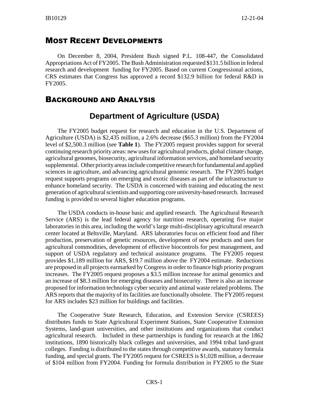#### MOST RECENT DEVELOPMENTS

On December 8, 2004, President Bush signed P.L. 108-447, the Consolidated Appropriations Act of FY2005. The Bush Administration requested \$131.5 billion in federal research and development funding for FY2005. Based on current Congressional actions, CRS estimates that Congress has approved a record \$132.9 billion for federal R&D in FY2005.

#### BACKGROUND AND ANALYSIS

## **Department of Agriculture (USDA)**

The FY2005 budget request for research and education in the U.S. Department of Agriculture (USDA) is \$2,435 million, a 2.6% decrease (\$65.3 million) from the FY2004 level of \$2,500.3 million (see **Table 1**). The FY2005 request provides support for several continuing research priority areas: new uses for agricultural products, global climate change, agricultural genomes, biosecurity, agricultural information services, and homeland security supplemental. Other priority areas include competitive research for fundamental and applied sciences in agriculture, and advancing agricultural genomic research. The FY2005 budget request supports programs on emerging and exotic diseases as part of the infrastructure to enhance homeland security. The USDA is concerned with training and educating the next generation of agricultural scientists and supporting core university-based research. Increased funding is provided to several higher education programs.

The USDA conducts in-house basic and applied research. The Agricultural Research Service (ARS) is the lead federal agency for nutrition research, operating five major laboratories in this area, including the world's large multi-disciplinary agricultural research center located at Beltsville, Maryland. ARS laboratories focus on efficient food and fiber production, preservation of genetic resources, development of new products and uses for agricultural commodities, development of effective biocontrols for pest management, and support of USDA regulatory and technical assistance programs. The FY2005 request provides \$1,189 million for ARS, \$19.7 million above the FY2004 estimate. Reductions are proposed in all projects earmarked by Congress in order to finance high priority program increases. The FY2005 request proposes a \$3.5 million increase for animal genomics and an increase of \$8.3 million for emerging diseases and biosecurity. There is also an increase proposed for information technology cyber security and animal waste related problems. The ARS reports that the majority of its facilities are functionally obsolete. The FY2005 request for ARS includes \$23 million for buildings and facilities.

The Cooperative State Research, Education, and Extension Service (CSREES) distributes funds to State Agricultural Experiment Stations, State Cooperative Extension Systems, land-grant universities, and other institutions and organizations that conduct agricultural research. Included in these partnerships is funding for research at the 1862 institutions, 1890 historically black colleges and universities, and 1994 tribal land-grant colleges. Funding is distributed to the states through competitive awards, statutory formula funding, and special grants. The FY2005 request for CSREES is \$1,028 million, a decrease of \$104 million from FY2004. Funding for formula distribution in FY2005 to the State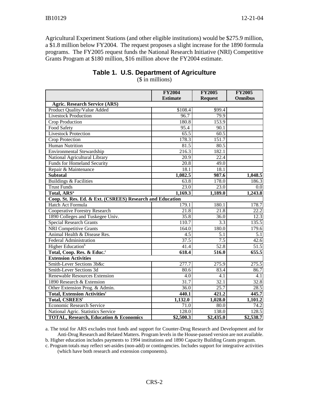Agricultural Experiment Stations (and other eligible institutions) would be \$275.9 million, a \$1.8 million below FY2004. The request proposes a slight increase for the 1890 formula programs. The FY2005 request funds the National Research Initiative (NRI) Competitive Grants Program at \$180 million, \$16 million above the FY2004 estimate.

|                                                           | <b>FY2004</b>     | <b>FY2005</b>    | <b>FY2005</b>     |
|-----------------------------------------------------------|-------------------|------------------|-------------------|
|                                                           | <b>Estimate</b>   | <b>Request</b>   | <b>Omnibus</b>    |
| <b>Agric. Research Service (ARS)</b>                      |                   |                  |                   |
| Product Quality/Value Added                               | \$108.4           | \$99.4           |                   |
| <b>Livestock Production</b>                               | 96.7              | 79.9             |                   |
| Crop Production                                           | 180.8             | 153.9            |                   |
| Food Safety                                               | 95.4              | 90.1             |                   |
| <b>Livestock Protection</b>                               | 65.5              | 60.5             |                   |
| <b>Crop Protection</b>                                    | 178.3             | 151.7            |                   |
| <b>Human Nutrition</b>                                    | 81.5              | 80.5             |                   |
| <b>Environmental Stewardship</b>                          | 216.3             | 182.1            |                   |
| National Agricultural Library                             | 20.9              | 22.4             |                   |
| <b>Funds for Homeland Security</b>                        | $\overline{20.8}$ | 49.0             |                   |
| Repair & Maintenance                                      | 18.1              | 18.1             |                   |
| <b>Subtotal</b>                                           | 1,082.5           | 987.6            | 1,048.5           |
| <b>Buildings &amp; Facilities</b>                         | 63.8              | 178.0            | 186.3             |
| <b>Trust Funds</b>                                        | 23.0              | 23.0             | 0.0               |
| Total, ARS <sup>a</sup>                                   | 1,169.3           | 1,189.0          | 1,243.8           |
| Coop. St. Res. Ed. & Ext. (CSREES) Research and Education |                   |                  |                   |
| Hatch Act Formula                                         | 179.1             | 180.1            | 178.7             |
| <b>Cooperative Forestry Research</b>                      | 21.8              | 21.8             | $\overline{22.2}$ |
| 1890 Colleges and Tuskegee Univ.                          | 35.8              | 36.0             | 12.3              |
| <b>Special Research Grants</b>                            | 110.7             | 3.3              | 135.5             |
| <b>NRI</b> Competitive Grants                             | 164.0             | 180.0            | 179.6             |
| Animal Health & Disease Res.                              | $\overline{4.5}$  | $\overline{5.1}$ | 5.1               |
| <b>Federal Administration</b>                             | 37.5              | 7.5              | 42.6              |
| Higher Education <sup>b</sup>                             | 41.4              | 52.8             | 51.5              |
| Total, Coop. Res. & Educ. <sup>c</sup>                    | 618.4             | 516.0            | 655.5             |
| <b>Extension Activities</b>                               |                   |                  |                   |
| Smith-Lever Sections 3b&c                                 | 277.7             | 275.9            | 275.5             |
| Smith-Lever Sections 3d                                   | 80.6              | 83.4             | 86.7              |
| Renewable Resources Extension                             | 4.0               | 4.1              | 4.1               |
| 1890 Research & Extension                                 | 31.7              | 32.1             | 32.8              |
| Other Extension Prog. & Admin.                            | 36.0              | 25.7             | 28.5              |
| <b>Total, Extension Activities</b> <sup>c</sup>           | 440.1             | 421.2            | 445.7             |
| <b>Total, CSREES</b> <sup>c</sup>                         | 1,132.0           | 1,028.0          | 1,101.2           |
| <b>Economic Research Service</b>                          | 71.0              | 80.0             | 74.2              |
| National Agric. Statistics Service                        | 128.0             | 138.0            | 128.5             |
| <b>TOTAL, Research, Education &amp; Economics</b>         | \$2,500.3         | \$2,435.0        | \$2,538.7         |

#### **Table 1. U.S. Department of Agriculture**

(\$ in millions)

a. The total for ARS excludes trust funds and support for Counter-Drug Research and Development and for Anti-Drug Research and Related Matters. Program levels in the House-passed version are not available.

b. Higher education includes payments to 1994 institutions and 1890 Capacity Building Grants program.

c. Program totals may reflect set-asides (non-add) or contingencies. Includes support for integrative activities (which have both research and extension components).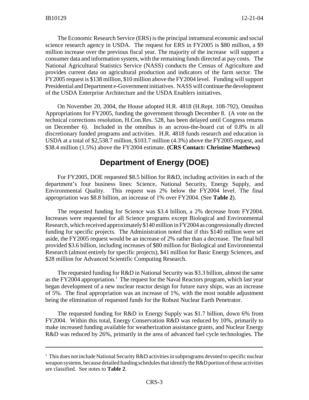The Economic Research Service (ERS) is the principal intramural economic and social science research agency in USDA. The request for ERS in FY2005 is \$80 million, a \$9 million increase over the previous fiscal year. The majority of the increase will support a consumer data and information system, with the remaining funds directed at pay costs. The National Agricultural Statistics Service (NASS) conducts the Census of Agriculture and provides current data on agricultural production and indicators of the farm sector. The FY2005 request is \$138 million, \$10 million above the FY2004 level. Funding will support Presidential and Department e-Government initiatives. NASS will continue the development of the USDA Enterprise Architecture and the USDA Enablers initiatives.

On November 20, 2004, the House adopted H.R. 4818 (H.Rept. 108-792), Omnibus Appropriations for FY2005, funding the government through December 8. (A vote on the technical corrections resolution, H.Con.Res. 528, has been delayed until Congress returns on December 6). Included in the omnibus is an across-the-board cut of 0.8% in all discretionary funded programs and activities. H.R. 4818 funds research and education in USDA at a total of \$2,538.7 million, \$103.7 million (4.3%) above the FY2005 request, and \$38.4 million (1.5%) above the FY2004 estimate. **(CRS Contact: Christine Matthews)**

## **Department of Energy (DOE)**

For FY2005, DOE requested \$8.5 billion for R&D, including activities in each of the department's four business lines: Science, National Security, Energy Supply, and Environmental Quality. This request was 2% below the FY2004 level. The final appropriation was \$8.8 billion, an increase of 1% over FY2004. (See **Table 2**).

The requested funding for Science was \$3.4 billion, a 2% decrease from FY2004. Increases were requested for all Science programs except Biological and Environmental Research, which received approximately \$140 million in FY2004 as congressionally directed funding for specific projects. The Administration noted that if this \$140 million were set aside, the FY2005 request would be an increase of 2% rather than a decrease. The final bill provided \$3.6 billion, including increases of \$80 million for Biological and Environmental Research (almost entirely for specific projects), \$41 million for Basic Energy Sciences, and \$28 million for Advanced Scientific Computing Research.

The requested funding for R&D in National Security was \$3.3 billion, almost the same as the FY2004 appropriation.<sup>1</sup> The request for the Naval Reactors program, which last year began development of a new nuclear reactor design for future navy ships, was an increase of 5%. The final appropriation was an increase of 1%, with the most notable adjustment being the elimination of requested funds for the Robust Nuclear Earth Penetrator.

The requested funding for R&D in Energy Supply was \$1.7 billion, down 6% from FY2004. Within this total, Energy Conservation R&D was reduced by 10%, primarily to make increased funding available for weatherization assistance grants, and Nuclear Energy R&D was reduced by 26%, primarily in the area of advanced fuel cycle technologies. The

<sup>&</sup>lt;sup>1</sup> This does not include National Security R&D activities in subprograms devoted to specific nuclear weapon systems, because detailed funding schedules that identify the R&D portion of those activities are classified. See notes to **Table 2**.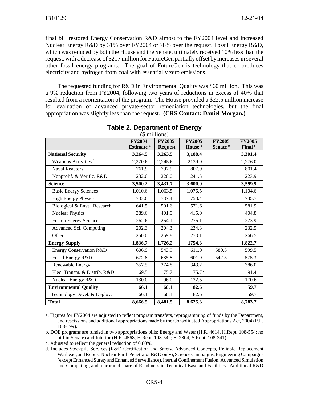final bill restored Energy Conservation R&D almost to the FY2004 level and increased Nuclear Energy R&D by 31% over FY2004 or 78% over the request. Fossil Energy R&D, which was reduced by both the House and the Senate, ultimately received 10% less than the request, with a decrease of \$217 million for FutureGen partially offset by increases in several other fossil energy programs. The goal of FutureGen is technology that co-produces electricity and hydrogen from coal with essentially zero emissions.

The requested funding for R&D in Environmental Quality was \$60 million. This was a 9% reduction from FY2004, following two years of reductions in excess of 40% that resulted from a reorientation of the program. The House provided a \$22.5 million increase for evaluation of advanced private-sector remediation technologies, but the final appropriation was slightly less than the request. **(CRS Contact: Daniel Morgan.)**

|                                 | <b>FY2004</b><br>Estimate <sup>a</sup> | <b>FY2005</b><br><b>Request</b> | <b>FY2005</b><br>House <sup>b</sup> | <b>FY2005</b><br>Senate <sup>b</sup> | <b>FY2005</b><br>Final <sup>c</sup> |
|---------------------------------|----------------------------------------|---------------------------------|-------------------------------------|--------------------------------------|-------------------------------------|
| <b>National Security</b>        | 3,264.5                                | 3,263.5                         | 3,188.4                             |                                      | 3,301.4                             |
| Weapons Activities <sup>d</sup> | 2,270.6                                | 2,245.6                         | 2139.0                              |                                      | 2,276.0                             |
| <b>Naval Reactors</b>           | 761.9                                  | 797.9                           | 807.9                               |                                      | 801.4                               |
| Nonprolif. & Verific. R&D       | 232.0                                  | 220.0                           | 241.5                               |                                      | 223.9                               |
| <b>Science</b>                  | 3,500.2                                | 3,431.7                         | 3,600.0                             |                                      | 3,599.9                             |
| <b>Basic Energy Sciences</b>    | 1,010.6                                | 1,063.5                         | 1,076.5                             |                                      | 1,104.6                             |
| <b>High Energy Physics</b>      | 733.6                                  | 737.4                           | 753.4                               |                                      | 735.7                               |
| Biological & Envtl. Research    | 641.5                                  | 501.6                           | 571.6                               |                                      | 581.9                               |
| <b>Nuclear Physics</b>          | 389.6                                  | 401.0                           | 415.0                               |                                      | 404.8                               |
| <b>Fusion Energy Sciences</b>   | 262.6                                  | 264.1                           | 276.1                               |                                      | 273.9                               |
| Advanced Sci. Computing         | 202.3                                  | 204.3                           | 234.3                               |                                      | 232.5                               |
| Other                           | 260.0                                  | 259.8                           | 273.1                               |                                      | 266.5                               |
| <b>Energy Supply</b>            | 1,836.7                                | 1,726.2                         | 1754.3                              |                                      | 1,822.7                             |
| Energy Conservation R&D         | 606.9                                  | 543.9                           | 611.0                               | 580.5                                | 599.5                               |
| Fossil Energy R&D               | 672.8                                  | 635.8                           | 601.9                               | 542.5                                | 575.3                               |
| Renewable Energy                | 357.5                                  | 374.8                           | 343.2                               |                                      | 386.0                               |
| Elec. Transm. & Distrib. R&D    | 69.5                                   | 75.7                            | 75.7 <sup>e</sup>                   |                                      | 91.4                                |
| Nuclear Energy R&D              | 130.0                                  | 96.0                            | 122.5                               |                                      | 170.6                               |
| <b>Environmental Quality</b>    | 66.1                                   | 60.1                            | 82.6                                |                                      | 59.7                                |
| Technology Devel. & Deploy.     | 66.1                                   | 60.1                            | 82.6                                |                                      | 59.7                                |
| <b>Total</b>                    | 8,666.5                                | 8,481.5                         | 8,625.3                             |                                      | 8,783.7                             |

**Table 2. Department of Energy** (\$ millions)

a. Figures for FY2004 are adjusted to reflect program transfers, reprogramming of funds by the Department, and rescissions and additional appropriations made by the Consolidated Appropriations Act, 2004 (P.L. 108-199).

b. DOE programs are funded in two appropriations bills: Energy and Water (H.R. 4614, H.Rept. 108-554; no bill in Senate) and Interior (H.R. 4568, H.Rept. 108-542; S. 2804, S.Rept. 108-341).

c. Adjusted to reflect the general reduction of 0.80%.

d. Includes Stockpile Services (R&D Certification and Safety, Advanced Concepts, Reliable Replacement Warhead, and Robust Nuclear Earth Penetrator R&D only), Science Campaigns, Engineering Campaigns (except Enhanced Surety and Enhanced Surveillance), Inertial Confinement Fusion, Advanced Simulation and Computing, and a prorated share of Readiness in Technical Base and Facilities. Additional R&D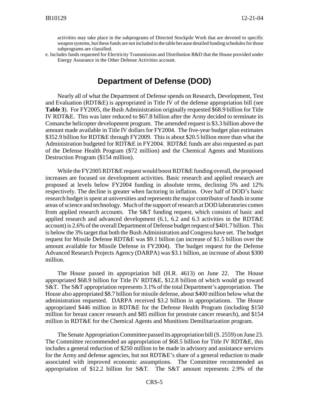activities may take place in the subprograms of Directed Stockpile Work that are devoted to specific weapon systems, but these funds are not included in the table because detailed funding schedules for those subprograms are classified.

e. Includes funds requested for Electricity Transmission and Distribution R&D that the House provided under Energy Assurance in the Other Defense Activities account.

## **Department of Defense (DOD)**

Nearly all of what the Department of Defense spends on Research, Development, Test and Evaluation (RDT&E) is appropriated in Title IV of the defense appropriation bill (see **Table 3**). For FY2005, the Bush Administration originally requested \$68.9 billion for Title IV RDT&E. This was later reduced to \$67.8 billion after the Army decided to terminate its Comanche helicopter development program. The amended request is \$3.3 billion above the amount made available in Title IV dollars for FY2004. The five-year budget plan estimates \$352.9 billion for RDT&E through FY2009. This is about \$20.5 billion more than what the Administration budgeted for RDT&E in FY2004. RDT&E funds are also requested as part of the Defense Health Program (\$72 million) and the Chemical Agents and Munitions Destruction Program (\$154 million).

While the FY2005 RDT&E request would boost RDT&E funding overall, the proposed increases are focused on development activities. Basic research and applied research are proposed at levels below FY2004 funding in absolute terms, declining 5% and 12% respectively. The decline is greater when factoring in inflation. Over half of DOD's basic research budget is spent at universities and represents the major contributor of funds in some areas of science and technology. Much of the support of research at DOD laboratories comes from applied research accounts. The S&T funding request, which consists of basic and applied research and advanced development (6.1, 6.2 and 6.3 activities in the RDT&E account) is 2.6% of the overall Department of Defense budget request of \$401.7 billion. This is below the 3% target that both the Bush Administration and Congress have set. The budget request for Missile Defense RDT&E was \$9.1 billion (an increase of \$1.5 billion over the amount available for Missile Defense in FY2004). The budget request for the Defense Advanced Research Projects Agency (DARPA) was \$3.1 billion, an increase of about \$300 million.

The House passed its appropriation bill (H.R. 4613) on June 22. The House appropriated \$68.9 billion for Title IV RDT&E, \$12.8 billion of which would go toward S&T. The S&T appropriation represents 3.1% of the total Department's appropriation. The House also appropriated \$8.7 billion for missile defense, about \$400 million below what the administration requested. DARPA received \$3.2 billion in appropriations. The House appropriated \$446 million in RDT&E for the Defense Health Program (including \$150 million for breast cancer research and \$85 million for prostrate cancer research), and \$154 million in RDT&E for the Chemical Agents and Munitions Demilitarization program.

The Senate Appropriation Committee passed its appropriation bill (S. 2559) on June 23. The Committee recommended an appropriation of \$68.5 billion for Title IV RDT&E, this includes a general reduction of \$250 million to be made in advisory and assistance services for the Army and defense agencies, but not RDT&E's share of a general reduction to made associated with improved economic assumptions. The Committee recommended an appropriation of \$12.2 billion for S&T. The S&T amount represents 2.9% of the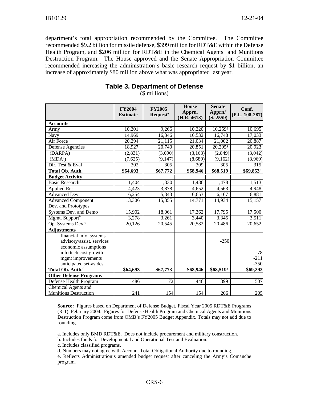department's total appropriation recommended by the Committee. The Committee recommended \$9.2 billion for missile defense, \$399 million for RDT&E within the Defense Health Program, and \$206 million for RDT&E in the Chemical Agents and Munitions Destruction Program. The House approved and the Senate Appropriation Committee recommended increasing the administration's basic research request by \$1 billion, an increase of approximately \$80 million above what was appropriated last year.

|                                                                              | <b>FY2004</b><br><b>Estimate</b> | <b>FY2005</b><br><b>Request<sup>e</sup></b> | <b>House</b><br>Apprn.<br>(H.R. 4613) | <b>Senate</b><br>Apprn.f<br>(S. 2559) | Conf.<br>$(P.L. 108-287)$ |
|------------------------------------------------------------------------------|----------------------------------|---------------------------------------------|---------------------------------------|---------------------------------------|---------------------------|
| <b>Accounts</b>                                                              |                                  |                                             |                                       |                                       |                           |
| Army                                                                         | 10,201                           | 9,266                                       | 10,220                                | $10,259$ <sup>g</sup>                 | 10,695                    |
| Navy                                                                         | 14,969                           | 16,346                                      | 16,532                                | 16,748                                | 17,033                    |
| Air Force                                                                    | 20,294                           | 21,115                                      | 21,034                                | 21,002                                | 20,887                    |
| Defense Agencies                                                             | 18,927                           | 20,740                                      | 20,851                                | $20,205$ <sup>g</sup>                 | 20,923                    |
| (DARPA)                                                                      | (2,831)                          | (3,090)                                     | (3,163)                               | (2, 849)                              | (3,042)                   |
| $(MDA^a)$                                                                    | (7,625)                          | (9,147)                                     | (8,689)                               | (9,162)                               | (8,969)                   |
| Dir. Test & Eval                                                             | 302                              | 305                                         | 309                                   | 305                                   | 315                       |
| <b>Total Ob. Auth.</b>                                                       | \$64,693                         | \$67,772                                    | \$68,946                              | \$68,519                              | \$69,853 <sup>h</sup>     |
| <b>Budget Activity</b>                                                       |                                  |                                             |                                       |                                       |                           |
| <b>Basic Research</b>                                                        | 1,404                            | 1,330                                       | 1,486                                 | 1,478                                 | 1,513                     |
| Applied Res.                                                                 | 4,423                            | 3,878                                       | 4,652                                 | 4,563                                 | 4,948                     |
| Advanced Dev.                                                                | 6,254                            | 5,343                                       | 6,653                                 | 6,167                                 | 6,881                     |
| <b>Advanced Component</b>                                                    | 13,306                           | 15,355                                      | 14,771                                | 14,934                                | 15,157                    |
| Dev. and Prototypes                                                          |                                  |                                             |                                       |                                       |                           |
| Systems Dev. and Demo                                                        | 15,902                           | 18,061                                      | 17,362                                | 17,795                                | 17,500                    |
| Mgmt. Support <sup>b</sup>                                                   | 3,278                            | 3,261                                       | 3,440                                 | 3,345                                 | 3,511                     |
| Op. Systems Dev. <sup>c</sup>                                                | 20,126                           | 20,545                                      | 20,582                                | 20,486                                | 20,652                    |
| <b>Adjustments</b>                                                           |                                  |                                             |                                       |                                       |                           |
| financial info. systems<br>advisory/assist. services<br>economic assumptions |                                  |                                             |                                       | $-250$                                |                           |
| info tech cost growth<br>mgmt improvements<br>anticipated set-asides         |                                  |                                             |                                       |                                       | $-78$<br>$-211$<br>$-350$ |
| Total Ob. Auth. <sup>d</sup>                                                 | \$64,693                         | \$67,773                                    | \$68,946                              | \$68,519g                             | \$69,293                  |
| <b>Other Defense Programs</b>                                                |                                  |                                             |                                       |                                       |                           |
| Defense Health Program                                                       | 486                              | $\overline{72}$                             | 446                                   | 399                                   | $\overline{507}$          |
| <b>Chemical Agents and</b><br><b>Munitions Destruction</b>                   | 241                              | 154                                         | 154                                   | 206                                   | 205                       |

## **Table 3. Department of Defense**

(\$ millions)

**Source:** Figures based on Department of Defense Budget, Fiscal Year 2005 RDT&E Programs (R-1), February 2004. Figures for Defense Health Program and Chemical Agents and Munitions Destruction Program come from OMB's FY2005 Budget Appendix. Totals may not add due to rounding.

a. Includes only BMD RDT&E. Does not include procurement and military construction.

b. Includes funds for Developmental and Operational Test and Evaluation.

c. Includes classified programs.

d. Numbers may not agree with Account Total Obligational Authority due to rounding.

e. Reflects Administration's amended budget request after canceling the Army's Comanche program.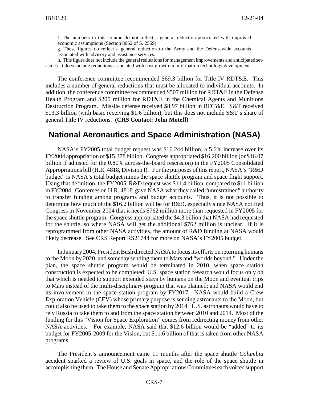f. The numbers in this column do not reflect a general reduction associated with improved economic assumptions (Section 8062 of S. 2559)

g. These figures do reflect a general reduction to the Army and the Defensewide accounts associated with advisory and assistance services.

h. This figure does not include the general reductions for management improvements and anticipated setasides. It does include reductions associated with cost growth in information technology development.

The conference committee recommended \$69.3 billion for Title IV RDT&E. This includes a number of general reductions that must be allocated to individual accounts. In addition, the conference committee recommended \$507 million for RDT&E in the Defense Health Program and \$205 million for RDT&E in the Chemical Agents and Munitions Destruction Program. Missile defense received \$8.97 billion in RDT&E. S&T received \$13.3 billion (with basic receiving \$1.6 billion), but this does not include S&T's share of general Title IV reductions. **(CRS Contact: John Moteff)**

#### **National Aeronautics and Space Administration (NASA)**

NASA's FY2005 total budget request was \$16.244 billion, a 5.6% increase over its FY2004 appropriation of \$15.378 billion. Congress appropriated \$16.200 billion (or \$16.07 billion if adjusted for the 0.80% across-the-board rescission) in the FY2005 Consolidated Appropriations bill (H.R. 4818, Division I). For the purposes of this report, NASA's "R&D budget" is NASA's total budget minus the space shuttle program and space flight support. Using that definition, the FY2005 R&D request was \$11.4 billion, compared to \$11 billion in FY2004. Conferees on H.R. 4818 gave NASA what they called "unrestrained" authority to transfer funding among programs and budget accounts. Thus, it is not possible to determine how much of the \$16.2 billion will be for R&D, especially since NASA notified Congress in November 2004 that it needs \$762 million more than requested in FY2005 for the space shuttle program. Congress appropriated the \$4.3 billion that NASA had requested for the shuttle, so where NASA will get the additional \$762 million is unclear. If it is reprogrammed from other NASA activities, the amount of R&D funding at NASA would likely decrease. See CRS Report RS21744 for more on NASA's FY2005 budget.

In January 2004, President Bush directed NASA to focus its efforts on returning humans to the Moon by 2020, and someday sending them to Mars and "worlds beyond." Under the plan, the space shuttle program would be terminated in 2010, when space station construction is expected to be completed; U.S. space station research would focus only on that which is needed to support extended stays by humans on the Moon and eventual trips to Mars instead of the multi-disciplinary program that was planned; and NASA would end its involvement in the space station program by FY2017. NASA would build a Crew Exploration Vehicle (CEV) whose primary purpose is sending astronauts to the Moon, but could also be used to take them to the space station by 2014. U.S. astronauts would have to rely Russia to take them to and from the space station between 2010 and 2014. Most of the funding for this "Vision for Space Exploration" comes from redirecting money from other NASA activities. For example, NASA said that \$12.6 billion would be "added" to its budget for FY2005-2009 for the Vision, but \$11.6 billion of that is taken from other NASA programs.

The President's announcement came 11 months after the space shuttle *Columbia* accident sparked a review of U.S. goals in space, and the role of the space shuttle in accomplishing them. The House and Senate Appropriations Committees each voiced support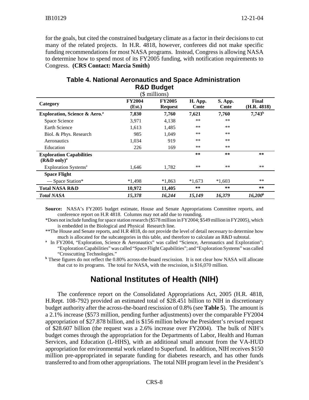for the goals, but cited the constrained budgetary climate as a factor in their decisions to cut many of the related projects. In H.R. 4818, however, conferees did not make specific funding recommendations for most NASA programs. Instead, Congress is allowing NASA to determine how to spend most of its FY2005 funding, with notification requirements to Congress. **(CRS Contact: Marcia Smith)**

| (\$ millions)                                                |                         |                                 |                        |                        |                      |
|--------------------------------------------------------------|-------------------------|---------------------------------|------------------------|------------------------|----------------------|
| Category                                                     | <b>FY2004</b><br>(Est.) | <b>FY2005</b><br><b>Request</b> | H. App.<br><b>Cmte</b> | S. App.<br><b>Cmte</b> | Final<br>(H.R. 4818) |
| <b>Exploration, Science &amp; Aero.</b> <sup>a</sup>         | 7,830                   | 7,760                           | 7,621                  | 7,760                  | $7,743^{\rm b}$      |
| Space Science                                                | 3,971                   | 4,138                           | **                     | **                     |                      |
| <b>Earth Science</b>                                         | 1,613                   | 1,485                           | $***$                  | $***$                  |                      |
| Biol. & Phys. Research                                       | 985                     | 1,049                           | $***$                  | **                     |                      |
| Aeronautics                                                  | 1,034                   | 919                             | $***$                  | $***$                  |                      |
| Education                                                    | 226                     | 169                             | **                     | $***$                  |                      |
| <b>Exploration Capabilities</b><br>$(R&D$ only) <sup>a</sup> |                         |                                 | **                     | $* *$                  | **                   |
| Exploration Systems <sup>a</sup>                             | 1,646                   | 1,782                           | **                     | **                     | $***$                |
| <b>Space Flight</b>                                          |                         |                                 |                        |                        |                      |
| — Space Station*                                             | $*1,498$                | $*1,863$                        | $*1,673$               | $*1,603$               | $***$                |
| <b>Total NASA R&amp;D</b>                                    | 10,972                  | 11,405                          | $***$                  | $***$                  | **                   |
| <b>Total NASA</b>                                            | 15,378                  | 16,244                          | 15,149                 | 16,379                 | $16,200^b$           |

#### **Table 4. National Aeronautics and Space Administration R&D Budget**

**Source:** NASA's FY2005 budget estimate, House and Senate Appropriations Committee reports, and conference report on H.R 4818. Columns may not add due to rounding.

\*Does not include funding for space station research (\$578 million in FY2004; \$549 million in FY2005), which is embedded in the Biological and Physical Research line.

\*\*The House and Senate reports, and H.R 4818, do not provide the level of detail necessary to determine how much is allocated for the subcategories in this table, and therefore to calculate an R&D subtotal.

<sup>a</sup> In FY2004, "Exploration, Science & Aeronautics" was called "Science, Aeronautics and Exploration"; "Exploration Capabilities" was called "Space Flight Capabilities"; and "Exploration Systems" was called "Crosscutting Technologies."

<sup>b</sup> These figures do not reflect the 0.80% across-the-board rescission. It is not clear how NASA will allocate that cut to its programs. The total for NASA, with the rescission, is \$16,070 million.

## **National Institutes of Health (NIH)**

The conference report on the Consolidated Appropriations Act, 2005 (H.R. 4818, H.Rept. 108-792) provided an estimated total of \$28.451 billion to NIH in discretionary budget authority after the across-the-board rescission of 0.8% (see **Table 5**). The amount is a 2.1% increase (\$573 million, pending further adjustments) over the comparable FY2004 appropriation of \$27.878 billion, and is \$156 million below the President's revised request of \$28.607 billion (the request was a 2.6% increase over FY2004). The bulk of NIH's budget comes through the appropriation for the Departments of Labor, Health and Human Services, and Education (L-HHS), with an additional small amount from the VA-HUD appropriation for environmental work related to Superfund. In addition, NIH receives \$150 million pre-appropriated in separate funding for diabetes research, and has other funds transferred to and from other appropriations. The total NIH program level in the President's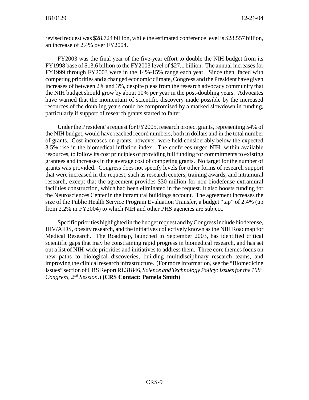revised request was \$28.724 billion, while the estimated conference level is \$28.557 billion, an increase of 2.4% over FY2004.

FY2003 was the final year of the five-year effort to double the NIH budget from its FY1998 base of \$13.6 billion to the FY2003 level of \$27.1 billion. The annual increases for FY1999 through FY2003 were in the 14%-15% range each year. Since then, faced with competing priorities and a changed economic climate, Congress and the President have given increases of between 2% and 3%, despite pleas from the research advocacy community that the NIH budget should grow by about 10% per year in the post-doubling years. Advocates have warned that the momentum of scientific discovery made possible by the increased resources of the doubling years could be compromised by a marked slowdown in funding, particularly if support of research grants started to falter.

Under the President's request for FY2005, research project grants, representing 54% of the NIH budget, would have reached record numbers, both in dollars and in the total number of grants. Cost increases on grants, however, were held considerably below the expected 3.5% rise in the biomedical inflation index. The conferees urged NIH, within available resources, to follow its cost principles of providing full funding for commitments to existing grantees and increases in the average cost of competing grants. No target for the number of grants was provided. Congress does not specify levels for other forms of research support that were increased in the request, such as research centers, training awards, and intramural research, except that the agreement provides \$30 million for non-biodefense extramural facilities construction, which had been eliminated in the request. It also boosts funding for the Neurosciences Center in the intramural buildings account. The agreement increases the size of the Public Health Service Program Evaluation Transfer, a budget "tap" of 2.4% (up from 2.2% in FY2004) to which NIH and other PHS agencies are subject.

Specific priorities highlighted in the budget request and by Congress include biodefense, HIV/AIDS, obesity research, and the initiatives collectively known as the NIH Roadmap for Medical Research. The Roadmap, launched in September 2003, has identified critical scientific gaps that may be constraining rapid progress in biomedical research, and has set out a list of NIH-wide priorities and initiatives to address them. Three core themes focus on new paths to biological discoveries, building multidisciplinary research teams, and improving the clinical research infrastructure. (For more information, see the "Biomedicine Issues" section of CRS Report RL31846, *Science and Technology Policy: Issues for the 108th Congress, 2nd Session*.) **(CRS Contact: Pamela Smith)**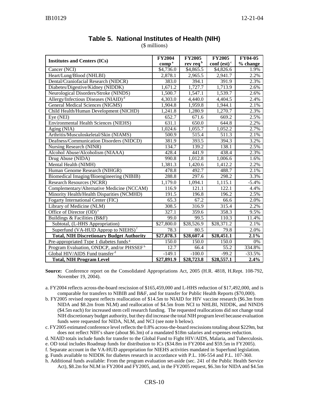| <b>Institutes and Centers (ICs)</b>                   | <b>FY2004</b>     | <b>FY2005</b>        | <b>FY2005</b>             | <b>FY04-05</b> |
|-------------------------------------------------------|-------------------|----------------------|---------------------------|----------------|
|                                                       | comp <sup>a</sup> | rev req <sup>b</sup> | conf $(est)$ <sup>c</sup> | % change       |
| Cancer (NCI)                                          | \$4,736.0         | \$4,865.5            | \$4,826.6                 | 1.9%           |
| Heart/Lung/Blood (NHLBI)                              | 2,878.1           | 2,965.5              | 2,941.7                   | 2.2%           |
| Dental/Craniofacial Research (NIDCR)                  | 383.0             | 394.1                | 391.9                     | 2.3%           |
| Diabetes/Digestive/Kidney (NIDDK)                     | 1,671.2           | 1,727.7              | 1,713.9                   | 2.6%           |
| Neurological Disorders/Stroke (NINDS)                 | 1,500.7           | 1,547.1              | 1,539.7                   | 2.6%           |
| Allergy/Infectious Diseases (NIAID) <sup>d</sup>      | 4,303.0           | 4,440.0              | 4,404.5                   | 2.4%           |
| <b>General Medical Sciences (NIGMS)</b>               | 1,904.8           | 1,959.8              | 1,944.1                   | 2.1%           |
| Child Health/Human Development (NICHD)                | 1,241.8           | 1,280.9              | 1,270.7                   | 2.3%           |
| Eye (NEI)                                             | 652.7             | 671.6                | 669.2                     | 2.5%           |
| <b>Environmental Health Sciences (NIEHS)</b>          | 631.1             | 650.0                | 644.8                     | 2.2%           |
| Aging (NIA)                                           | 1,024.6           | 1,055.7              | 1,052.2                   | 2.7%           |
| Arthritis/Musculoskeletal/Skin (NIAMS)                | 500.9             | 515.4                | $\frac{1}{511.3}$         | 2.1%           |
| Deafness/Communication Disorders (NIDCD)              | 381.9             | 393.5                | 394.3                     | 3.2%           |
| Nursing Research (NINR)                               | 134.7             | 139.2                | 138.1                     | 2.5%           |
| Alcohol Abuse/Alcoholism (NIAAA)                      | 428.4             | 441.9                | 438.4                     | 2.3%           |
| Drug Abuse (NIDA)                                     | 990.8             | 1,012.8              | 1,006.6                   | 1.6%           |
| Mental Health (NIMH)                                  | 1,381.3           | 1,420.6              | 1,412.2                   | 2.2%           |
| Human Genome Research (NIHGR)                         | 478.8             | 492.7                | 488.7                     | 2.1%           |
| Biomedical Imaging/Bioengineering (NIBIB)             | 288.8             | 297.6                | 298.2                     | 3.3%           |
| <b>Research Resources (NCRR)</b>                      | 1,179.0           | 1,094.1              | 1,115.1                   | $-5.4%$        |
| Complementary/Alternative Medicine (NCCAM)            | 116.9             | 121.1                | 122.1                     | 4.4%           |
| Minority Health/Health Disparities (NCMHD)            | 191.5             | 196.8                | 196.2                     | 2.5%           |
| Fogarty International Center (FIC)                    | 65.3              | 67.2                 | 66.6                      | 2.0%           |
| Library of Medicine (NLM)                             | 308.5             | 316.9                | 315.4                     | 2.2%           |
| Office of Director (OD) <sup>e</sup>                  | 327.1             | 359.6                | 358.3                     | 9.5%           |
| Buildings & Facilities (B&F)                          | 99.0              | 99.5                 | 110.3                     | 11.4%          |
| Subtotal, (L-HHS Appropriation)                       | \$27,800.0        | \$28,526.9           | \$28,371.2                | 2.1%           |
| Superfund (VA-HUD Approp to NIEHS) <sup>f</sup>       | 78.3              | 80.5                 | 79.8                      | 2.0%           |
| <b>Total, NIH Discretionary Budget Authority</b>      | \$27,878.3        | \$28,607.4           | \$28,451.1                | 2.1%           |
| Pre-appropriated Type 1 diabetes funds <sup>g</sup>   | 150.0             | 150.0                | 150.0                     | $0\%$          |
| Program Evaluation, ONDCP, and/or PHSSEF <sup>h</sup> | 12.7              | 66.4                 | $\overline{55.2}$         | 334.8%         |
| Global HIV/AIDS Fund transfer <sup>d</sup>            | $-149.1$          | $-100.0$             | $-99.2$                   | $-33.5%$       |
| <b>Total, NIH Program Level</b>                       | \$27,891.9        | \$28,723.8           | \$28,557.1                | 2.4%           |

#### **Table 5. National Institutes of Health (NIH)**

(\$ millions)

**Source:** Conference report on the Consolidated Appropriations Act, 2005 (H.R. 4818, H.Rept. 108-792, November 19, 2004).

- a. FY2004 reflects across-the-board rescission of \$165,459,000 and L-HHS reduction of \$17,492,000, and is comparable for transfers to NIBIB and B&F, and for transfer for Public Health Reports (\$70,000).
- b. FY2005 revised request reflects reallocation of \$14.5m to NIAID for HIV vaccine research (\$6.3m from NIDA and \$8.2m from NLM) and reallocation of \$4.5m from NCI to NHLBI, NIDDK, and NINDS (\$4.5m each) for increased stem cell research funding. The requested reallocations did not change total NIH discretionary budget authority, but they did increase the total NIH program level because evaluation funds were requested for NIDA, NLM, and NCI (see note h below).
- c. FY2005 estimated conference level reflects the 0.8% across-the-board rescissions totaling about \$229m, but does not reflect NIH's share (about \$6.3m) of a mandated \$18m salaries and expenses reduction.
- d. NIAID totals include funds for transfer to the Global Fund to Fight HIV/AIDS, Malaria, and Tuberculosis.

e. OD total includes Roadmap funds for distribution to ICs (\$34.8m in FY2004 and \$59.5m in FY2005).

f. Separate account in the VA-HUD appropriation for NIEHS activities mandated in Superfund legislation.

- g. Funds available to NIDDK for diabetes research in accordance with P.L. 106-554 and P.L. 107-360.
- h. Additional funds available: From the program evaluation set-aside (sec. 241 of the Public Health Service Act), \$8.2m for NLM in FY2004 and FY2005, and, in the FY2005 request, \$6.3m for NIDA and \$4.5m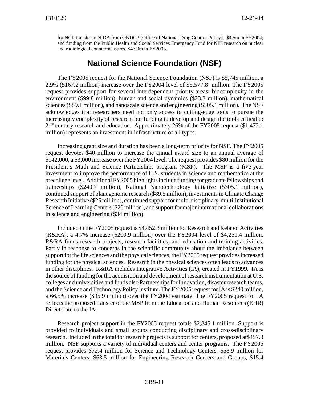for NCI; transfer to NIDA from ONDCP (Office of National Drug Control Policy), \$4.5m in FY2004; and funding from the Public Health and Social Services Emergency Fund for NIH research on nuclear and radiological countermeasures, \$47.0m in FY2005.

## **National Science Foundation (NSF)**

The FY2005 request for the National Science Foundation (NSF) is \$5,745 million, a 2.9% (\$167.2 million) increase over the FY2004 level of \$5,577.8 million. The FY2005 request provides support for several interdependent priority areas: biocomplexity in the environment (\$99.8 million), human and social dynamics (\$23.3 million), mathematical sciences (\$89.1 million), and nanoscale science and engineering (\$305.1 million). The NSF acknowledges that researchers need not only access to cutting-edge tools to pursue the increasingly complexity of research, but funding to develop and design the tools critical to  $21<sup>st</sup>$  century research and education. Approximately 26% of the FY2005 request (\$1,472.1) million) represents an investment in infrastructure of all types.

Increasing grant size and duration has been a long-term priority for NSF. The FY2005 request devotes \$40 million to increase the annual award size to an annual average of \$142,000, a \$3,000 increase over the FY2004 level. The request provides \$80 million for the President's Math and Science Partnerships program (MSP). The MSP is a five-year investment to improve the performance of U.S. students in science and mathematics at the precollege level. Additional FY2005 highlights include funding for graduate fellowships and traineeships (\$240.7 million), National Nanotechnology Initiative (\$305.1 million), continued support of plant genome research (\$89.5 million), investments in Climate Change Research Initiative (\$25 million), continued support for multi-disciplinary, multi-institutional Science of Learning Centers (\$20 million), and support for major international collaborations in science and engineering (\$34 million).

Included in the FY2005 request is \$4,452.3 million for Research and Related Activities (R&RA), a 4.7% increase (\$200.9 million) over the FY2004 level of \$4,251.4 million. R&RA funds research projects, research facilities, and education and training activities. Partly in response to concerns in the scientific community about the imbalance between support for the life sciences and the physical sciences, the FY2005 request provides increased funding for the physical sciences. Research in the physical sciences often leads to advances in other disciplines. R&RA includes Integrative Activities (IA), created in FY1999. IA is the source of funding for the acquisition and development of research instrumentation at U.S. colleges and universities and funds also Partnerships for Innovation, disaster research teams, and the Science and Technology Policy Institute. The FY2005 request for IA is \$240 million, a 66.5% increase (\$95.9 million) over the FY2004 estimate. The FY2005 request for IA reflects the proposed transfer of the MSP from the Education and Human Resources (EHR) Directorate to the IA.

Research project support in the FY2005 request totals \$2,845.1 million. Support is provided to individuals and small groups conducting disciplinary and cross-disciplinary research. Included in the total for research projects is support for centers, proposed at\$457.3 million. NSF supports a variety of individual centers and center programs. The FY2005 request provides \$72.4 million for Science and Technology Centers, \$58.9 million for Materials Centers, \$63.5 million for Engineering Research Centers and Groups, \$15.4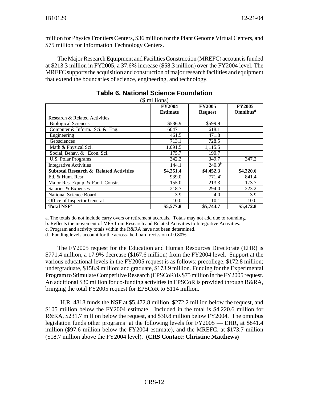million for Physics Frontiers Centers, \$36 million for the Plant Genome Virtual Centers, and \$75 million for Information Technology Centers.

The Major Research Equipment and Facilities Construction (MREFC) account is funded at \$213.3 million in FY2005, a 37.6% increase (\$58.3 million) over the FY2004 level. The MREFC supports the acquisition and construction of major research facilities and equipment that extend the boundaries of science, engineering, and technology.

|                                                   | (\$ millions)<br><b>FY2004</b> | <b>FY2005</b>      | <b>FY2005</b>        |
|---------------------------------------------------|--------------------------------|--------------------|----------------------|
|                                                   | <b>Estimate</b>                | <b>Request</b>     | Omnibus <sup>d</sup> |
| Research & Related Activities                     |                                |                    |                      |
| <b>Biological Sciences</b>                        | \$586.9                        | \$599.9            |                      |
| Computer & Inform. Sci. & Eng.                    | 6047                           | 618.1              |                      |
| Engineering                                       | 461.5                          | 471.8              |                      |
| Geosciences                                       | 713.1                          | 728.5              |                      |
| Math & Physical Sci.                              | 1,091.5                        | 1,115.5            |                      |
| Social, Behav. & Econ. Sci.                       | 175.7                          | 190.7              |                      |
| <b>U.S. Polar Programs</b>                        | 342.2                          | 349.7              | 347.2                |
| <b>Integrative Activities</b>                     | 144.1                          | 240.0 <sup>b</sup> |                      |
| <b>Subtotal Research &amp; Related Activities</b> | \$4,251.4                      | \$4,452.3          | \$4,220.6            |
| Ed. & Hum. Resr.                                  | 939.0                          | $771.4^{\circ}$    | 841.4                |
| Major Res. Equip. & Facil. Constr.                | 155.0                          | 213.3              | 173.7                |
| Salaries & Expenses                               | 218.7                          | 294.0              | 223.2                |
| National Science Board                            | 3.9                            | 4.0                | 3.9                  |
| Office of Inspector General                       | 10.0                           | 10.1               | 10.0                 |
| <b>Total NSF<sup>a</sup></b>                      | \$5,577.8                      | \$5,744.7          | \$5,472.8            |

#### **Table 6. National Science Foundation**

a. The totals do not include carry overs or retirement accruals. Totals may not add due to rounding.

b. Reflects the movement of MPS from Research and Related Activities to Integrative Activities.

c. Program and activity totals within the R&RA have not been determined.

d. Funding levels account for the across-the-board recission of 0.80%.

The FY2005 request for the Education and Human Resources Directorate (EHR) is \$771.4 million, a 17.9% decrease (\$167.6 million) from the FY2004 level. Support at the various educational levels in the FY2005 request is as follows: precollege, \$172.8 million; undergraduate, \$158.9 million; and graduate, \$173.9 million. Funding for the Experimental Program to Stimulate Competitive Research (EPSCoR) is \$75 million in the FY2005 request. An additional \$30 million for co-funding activities in EPSCoR is provided through R&RA, bringing the total FY2005 request for EPSCoR to \$114 million.

 H.R. 4818 funds the NSF at \$5,472.8 million, \$272.2 million below the request, and \$105 million below the FY2004 estimate. Included in the total is \$4,220.6 million for R&RA, \$231.7 million below the request, and \$30.8 million below FY2004. The omnibus legislation funds other programs at the following levels for FY2005 — EHR, at \$841.4 million (\$97.6 million below the FY2004 estimate), and the MREFC, at \$173.7 million (\$18.7 million above the FY2004 level). **(CRS Contact: Christine Matthews)**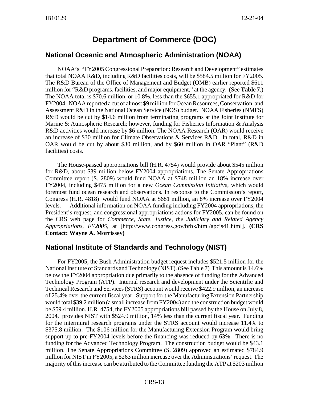## **Department of Commerce (DOC)**

#### **National Oceanic and Atmospheric Administration (NOAA)**

NOAA's "FY2005 Congressional Preparation: Research and Development" estimates that total NOAA R&D, including R&D facilities costs, will be \$584.5 million for FY2005. The R&D Bureau of the Office of Management and Budget (OMB) earlier reported \$611 million for "R&D programs, facilities, and major equipment," at the agency. (See **Table 7**.) The NOAA total is \$70.6 million, or 10.8%, less than the \$655.1 appropriated for R&D for FY2004. NOAA reported a cut of almost \$9 million for Ocean Resources, Conservation, and Assessment R&D in the National Ocean Service (NOS) budget. NOAA Fisheries (NMFS) R&D would be cut by \$14.6 million from terminating programs at the Joint Institute for Marine & Atmospheric Research; however, funding for Fisheries Information & Analysis R&D activities would increase by \$6 million. The NOAA Research (OAR) would receive an increase of \$30 million for Climate Observations & Services R&D. In total, R&D in OAR would be cut by about \$30 million, and by \$60 million in OAR "Plant" (R&D facilities) costs.

The House-passed appropriations bill (H.R. 4754) would provide about \$545 million for R&D, about \$39 million below FY2004 appropriations. The Senate Appropriations Committee report (S. 2809) would fund NOAA at \$748 million an 18% increase over FY2004, including \$475 million for a new *Ocean Commission Initiative*, which would foremost fund ocean research and observations. In response to the Commission's report, Congress (H.R. 4818) would fund NOAA at \$681 million, an 8% increase over FY2004 levels. Additional information on NOAA funding including FY2004 appropriations, the President's request, and congressional appropriations actions for FY2005, can be found on the CRS web page for *Commerce, State, Justice, the Judiciary and Related Agency Appropriations, FY2005*, at [http://www.congress.gov/brbk/html/apcjs41.html]. **(CRS Contact: Wayne A. Morrissey)**

#### **National Institute of Standards and Technology (NIST)**

For FY2005, the Bush Administration budget request includes \$521.5 million for the National Institute of Standards and Technology (NIST). (See Table 7) This amount is 14.6% below the FY2004 appropriation due primarily to the absence of funding for the Advanced Technology Program (ATP). Internal research and development under the Scientific and Technical Research and Services (STRS) account would receive \$422.9 million, an increase of 25.4% over the current fiscal year. Support for the Manufacturing Extension Partnership would total \$39.2 million (a small increase from FY2004) and the construction budget would be \$59.4 million. H.R. 4754, the FY2005 appropriations bill passed by the House on July 8, 2004, provides NIST with \$524.9 million, 14% less than the current fiscal year. Funding for the intermural research programs under the STRS account would increase 11.4% to \$375.8 million. The \$106 million for the Manufacturing Extension Program would bring support up to pre-FY2004 levels before the financing was reduced by 63%. There is no funding for the Advanced Technology Program. The construction budget would be \$43.1 million. The Senate Appropriations Committee (S. 2809) approved an estimated \$784.9 million for NIST in FY2005, a \$263 million increase over the Administrations' request. The majority of this increase can be attributed to the Committee funding the ATP at \$203 million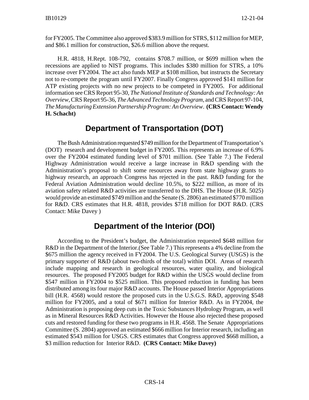for FY2005. The Committee also approved \$383.9 million for STRS, \$112 million for MEP, and \$86.1 million for construction, \$26.6 million above the request.

H.R. 4818, H.Rept. 108-792, contains \$708.7 million, or \$699 million when the recessions are applied to NIST programs. This includes \$380 million for STRS, a 10% increase over FY2004. The act also funds MEP at \$108 million, but instructs the Secretary not to re-compete the program until FY2007. Finally Congress approved \$141 million for ATP existing projects with no new projects to be competed in FY2005. For additional information see CRS Report 95-30, *The National Institute of Standards and Technology: An Overview*, CRS Report 95-36, *The Advanced Technology Program*, and CRS Report 97-104, *The Manufacturing Extension Partnership Program: An Overview*. **(CRS Contact: Wendy H. Schacht)**

## **Department of Transportation (DOT)**

The Bush Administration requested \$749 million for the Department of Transportation's (DOT) research and development budget in FY2005. This represents an increase of 6.9% over the FY2004 estimated funding level of \$701 million. (See Table 7.) The Federal Highway Administration would receive a large increase in R&D spending with the Administration's proposal to shift some resources away from state highway grants to highway research, an approach Congress has rejected in the past. R&D funding for the Federal Aviation Administration would decline 10.5%, to \$222 million, as more of its aviation safety related R&D activities are transferred to the DHS. The House (H.R. 5025) would provide an estimated \$749 million and the Senate (S. 2806) an estimated \$770 million for R&D. CRS estimates that H.R. 4818, provides \$718 million for DOT R&D. (CRS Contact: Mike Davey )

### **Department of the Interior (DOI)**

According to the President's budget, the Administration requested \$648 million for R&D in the Department of the Interior.(See Table 7.) This represents a 4% decline from the \$675 million the agency received in FY2004. The U.S. Geological Survey (USGS) is the primary supporter of R&D (about two-thirds of the total) within DOI. Areas of research include mapping and research in geological resources, water quality, and biological resources. The proposed FY2005 budget for R&D within the USGS would decline from \$547 million in FY2004 to \$525 million. This proposed reduction in funding has been distributed among its four major R&D accounts. The House passed Interior Appropriations bill (H.R. 4568) would restore the proposed cuts in the U.S.G.S. R&D, approving \$548 million for FY2005, and a total of \$671 million for Interior R&D. As in FY2004, the Administration is proposing deep cuts in the Toxic Substances Hydrology Program, as well as in Mineral Resources R&D Activities. However the House also rejected these proposed cuts and restored funding for these two programs in H.R. 4568. The Senate Appropriations Committee (S. 2804) approved an estimated \$666 million for Interior research, including an estimated \$543 million for USGS. CRS estimates that Congress approved \$668 million, a \$3 million reduction for Interior R&D. **(CRS Contact: Mike Davey)**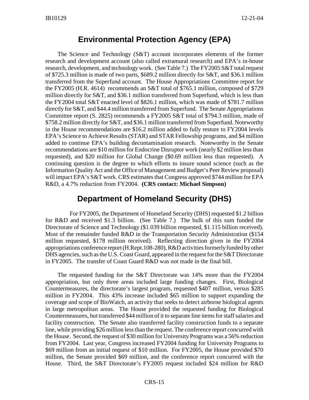### **Environmental Protection Agency (EPA)**

The Science and Technology (S&T) account incorporates elements of the former research and development account (also called extramural research) and EPA's in-house research, development, and technology work. (See Table 7.) The FY2005 S&T total request of \$725.3 million is made of two parts, \$689.2 million directly for S&T, and \$36.1 million transferred from the Superfund account. The House Appropriations Committee report for the FY2005 (H.R. 4614) recommends an S&T total of \$765.1 million, composed of \$729 million directly for S&T, and \$36.1 million transferred from Superfund, which is less than the FY2004 total S&T enacted level of \$826.1 million, which was made of \$781.7 million directly for S&T, and \$44.4 million transferred from Superfund. The Senate Appropriations Committee report (S. 2825) recommends a FY2005 S&T total of \$794.3 million, made of \$758.2 million directly for S&T, and \$36.1 million transferred from Superfund. Noteworthy in the House recommendations are \$16.2 million added to fully restore to FY2004 levels EPA's Science to Achieve Results (STAR) and STAR Fellowship programs, and \$4 million added to continue EPA's building decontamination research. Noteworthy in the Senate recommendations are \$10 million for Endocrine Disruptor work (nearly \$2 million less than requested), and \$20 million for Global Change (\$0.69 million less than requested). A continuing question is the degree to which efforts to insure sound science (such as the Information Quality Act and the Office of Management and Budget's Peer Review proposal) will impact EPA's S&T work. CRS estimates that Congress approved \$744 million for EPA R&D, a 4.7% reduction from FY2004. **(CRS contact: Michael Simpson)**

## **Department of Homeland Security (DHS)**

For FY2005, the Department of Homeland Security (DHS) requested \$1.2 billion for R&D and received \$1.3 billion. (See Table 7.) The bulk of this sum funded the Directorate of Science and Technology (\$1.039 billion requested, \$1.115 billion received). Most of the remainder funded R&D in the Transportation Security Administration (\$154 million requested, \$178 million received). Reflecting direction given in the FY2004 appropriations conference report (H.Rept.108-280), R&D activities formerly funded by other DHS agencies, such as the U.S. Coast Guard, appeared in the request for the S&T Directorate in FY2005. The transfer of Coast Guard R&D was not made in the final bill.

The requested funding for the S&T Directorate was 14% more than the FY2004 appropriation, but only three areas included large funding changes. First, Biological Countermeasures, the directorate's largest program, requested \$407 million, versus \$285 million in FY2004. This 43% increase included \$65 million to support expanding the coverage and scope of BioWatch, an activity that seeks to detect airborne biological agents in large metropolitan areas. The House provided the requested funding for Biological Countermeasures, but transferred \$44 million of it to separate line items for staff salaries and facility construction. The Senate also transferred facility construction funds to a separate line, while providing \$26 million less than the request. The conference report concurred with the House. Second, the request of \$30 million for University Programs was a 56% reduction from FY2004. Last year, Congress increased FY2004 funding for University Programs to \$69 million from an initial request of \$10 million. For FY2005, the House provided \$70 million, the Senate provided \$69 million, and the conference report concurred with the House. Third, the S&T Directorate's FY2005 request included \$24 million for R&D